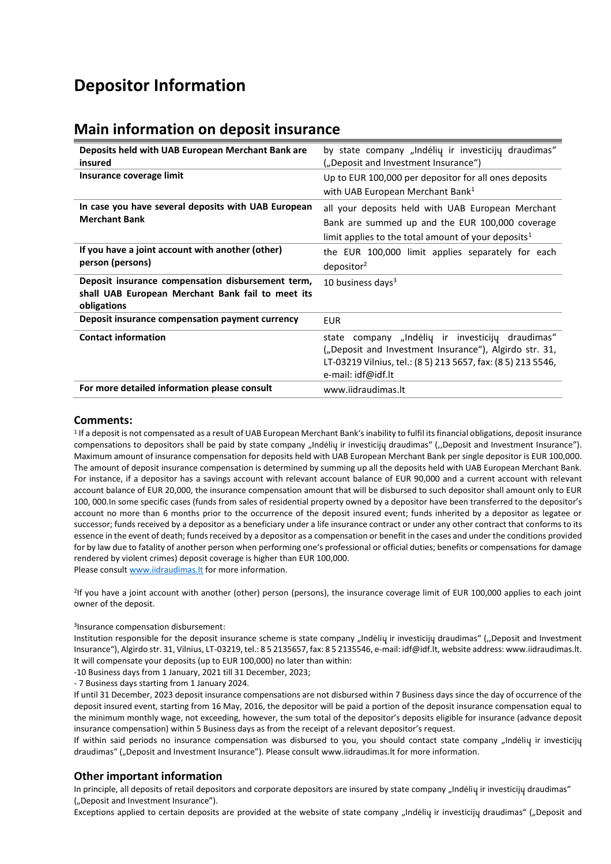# **Depositor Information**

# **Main information on deposit insurance**

| Deposits held with UAB European Merchant Bank are                | by state company "Indėlių ir investicijų draudimas"             |
|------------------------------------------------------------------|-----------------------------------------------------------------|
| insured                                                          | ("Deposit and Investment Insurance")                            |
| Insurance coverage limit                                         | Up to EUR 100,000 per depositor for all ones deposits           |
|                                                                  | with UAB European Merchant Bank <sup>1</sup>                    |
| In case you have several deposits with UAB European              | all your deposits held with UAB European Merchant               |
| <b>Merchant Bank</b>                                             | Bank are summed up and the EUR 100,000 coverage                 |
|                                                                  | limit applies to the total amount of your deposits <sup>1</sup> |
| If you have a joint account with another (other)                 | the EUR 100,000 limit applies separately for each               |
| person (persons)                                                 | depositor <sup>2</sup>                                          |
| Deposit insurance compensation disbursement term,                | 10 business days $3$                                            |
| shall UAB European Merchant Bank fail to meet its<br>obligations |                                                                 |
| Deposit insurance compensation payment currency                  | <b>EUR</b>                                                      |
| <b>Contact information</b>                                       | state company "Indėlių ir investicijų draudimas"                |
|                                                                  | ("Deposit and Investment Insurance"), Algirdo str. 31,          |
|                                                                  | LT-03219 Vilnius, tel.: (8 5) 213 5657, fax: (8 5) 213 5546,    |
|                                                                  | e-mail: idf@idf.lt                                              |
| For more detailed information please consult                     | www.iidraudimas.lt                                              |

### **Comments:**

1 If a deposit is not compensated as a result of UAB European Merchant Bank's inability to fulfil its financial obligations, deposit insurance compensations to depositors shall be paid by state company "Indėlių ir investicijų draudimas" ("Deposit and Investment Insurance"). Maximum amount of insurance compensation for deposits held with UAB European Merchant Bank per single depositor is EUR 100,000. The amount of deposit insurance compensation is determined by summing up all the deposits held with UAB European Merchant Bank. For instance, if a depositor has a savings account with relevant account balance of EUR 90,000 and a current account with relevant account balance of EUR 20,000, the insurance compensation amount that will be disbursed to such depositor shall amount only to EUR 100, 000.In some specific cases (funds from sales of residential property owned by a depositor have been transferred to the depositor's account no more than 6 months prior to the occurrence of the deposit insured event; funds inherited by a depositor as legatee or successor; funds received by a depositor as a beneficiary under a life insurance contract or under any other contract that conforms to its essence in the event of death; funds received by a depositor as a compensation or benefit in the cases and under the conditions provided for by law due to fatality of another person when performing one's professional or official duties; benefits or compensations for damage rendered by violent crimes) deposit coverage is higher than EUR 100,000. Please consul[t www.iidraudimas.lt](http://www.iidraudimas.lt/) for more information.

2 If you have a joint account with another (other) person (persons), the insurance coverage limit of EUR 100,000 applies to each joint owner of the deposit.

#### 3 Insurance compensation disbursement:

Institution responsible for the deposit insurance scheme is state company "Indėlių ir investicijų draudimas" ("Deposit and Investment Insurance"), Algirdo str. 31, Vilnius, LT-03219, tel.: 8 5 2135657, fax: 8 5 2135546, e-mail: idf@idf.lt, website address: www.iidraudimas.lt. It will compensate your deposits (up to EUR 100,000) no later than within:

-10 Business days from 1 January, 2021 till 31 December, 2023;

- 7 Business days starting from 1 January 2024.

If until 31 December, 2023 deposit insurance compensations are not disbursed within 7 Business days since the day of occurrence of the deposit insured event, starting from 16 May, 2016, the depositor will be paid a portion of the deposit insurance compensation equal to the minimum monthly wage, not exceeding, however, the sum total of the depositor's deposits eligible for insurance (advance deposit insurance compensation) within 5 Business days as from the receipt of a relevant depositor's request.

If within said periods no insurance compensation was disbursed to you, you should contact state company "Indėlių ir investicijų draudimas" ("Deposit and Investment Insurance"). Please consult www.iidraudimas. It for more information.

## **Other important information**

In principle, all deposits of retail depositors and corporate depositors are insured by state company "Indėlių ir investicijų draudimas" ("Deposit and Investment Insurance").

Exceptions applied to certain deposits are provided at the website of state company "Indėlių ir investicijų draudimas" ("Deposit and